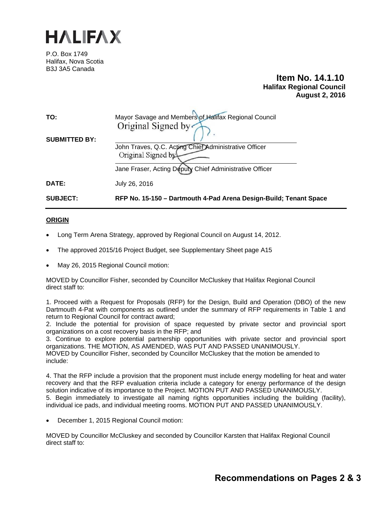

P.O. Box 1749 Halifax, Nova Scotia B3J 3A5 Canada

# **Item No. 14.1.10 Halifax Regional Council August 2, 2016**

| <b>SUBJECT:</b>      | RFP No. 15-150 - Dartmouth 4-Pad Arena Design-Build; Tenant Space           |
|----------------------|-----------------------------------------------------------------------------|
| DATE:                | July 26, 2016                                                               |
|                      | Jane Fraser, Acting Deputy Chief Administrative Officer                     |
|                      | John Traves, Q.C. Acting Chief Administrative Officer<br>Original Signed by |
| <b>SUBMITTED BY:</b> |                                                                             |
|                      | Original Signed by                                                          |
| TO:                  | Mayor Savage and Members of Halifax Regional Council                        |

## **ORIGIN**

- Long Term Arena Strategy, approved by Regional Council on August 14, 2012.
- The approved 2015/16 Project Budget, see Supplementary Sheet page A15
- May 26, 2015 Regional Council motion:

MOVED by Councillor Fisher, seconded by Councillor McCluskey that Halifax Regional Council direct staff to:

1. Proceed with a Request for Proposals (RFP) for the Design, Build and Operation (DBO) of the new Dartmouth 4-Pat with components as outlined under the summary of RFP requirements in Table 1 and return to Regional Council for contract award;

2. Include the potential for provision of space requested by private sector and provincial sport organizations on a cost recovery basis in the RFP; and

3. Continue to explore potential partnership opportunities with private sector and provincial sport organizations. THE MOTION, AS AMENDED, WAS PUT AND PASSED UNANIMOUSLY. MOVED by Councillor Fisher, seconded by Councillor McCluskey that the motion be amended to include:

4. That the RFP include a provision that the proponent must include energy modelling for heat and water recovery and that the RFP evaluation criteria include a category for energy performance of the design solution indicative of its importance to the Project. MOTION PUT AND PASSED UNANIMOUSLY. 5. Begin immediately to investigate all naming rights opportunities including the building (facility), individual ice pads, and individual meeting rooms. MOTION PUT AND PASSED UNANIMOUSLY.

December 1, 2015 Regional Council motion:

MOVED by Councillor McCluskey and seconded by Councillor Karsten that Halifax Regional Council direct staff to: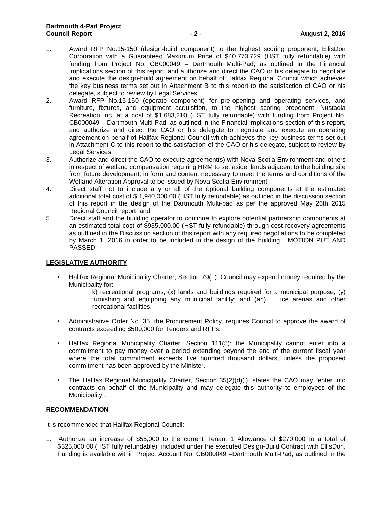- 1. Award RFP No.15-150 (design-build component) to the highest scoring proponent, EllisDon Corporation with a Guaranteed Maximum Price of \$40,773,729 (HST fully refundable) with funding from Project No. CB000049 – Dartmouth Multi-Pad, as outlined in the Financial Implications section of this report, and authorize and direct the CAO or his delegate to negotiate and execute the design-build agreement on behalf of Halifax Regional Council which achieves the key business terms set out in Attachment B to this report to the satisfaction of CAO or his delegate, subject to review by Legal Services
- 2. Award RFP No.15-150 (operate component) for pre-opening and operating services, and furniture, fixtures, and equipment acquisition, to the highest scoring proponent, Nustadia Recreation Inc. at a cost of \$1,683,210 (HST fully refundable) with funding from Project No. CB000049 – Dartmouth Multi-Pad, as outlined in the Financial Implications section of this report, and authorize and direct the CAO or his delegate to negotiate and execute an operating agreement on behalf of Halifax Regional Council which achieves the key business terms set out in Attachment C to this report to the satisfaction of the CAO or his delegate, subject to review by Legal Services;
- 3. Authorize and direct the CAO to execute agreement(s) with Nova Scotia Environment and others in respect of wetland compensation requiring HRM to set aside lands adjacent to the building site from future development, in form and content necessary to meet the terms and conditions of the Wetland Alteration Approval to be issued by Nova Scotia Environment;
- 4. Direct staff not to include any or all of the optional building components at the estimated additional total cost of \$ 1,940,000.00 (HST fully refundable) as outlined in the discussion section of this report in the design of the Dartmouth Multi-pad as per the approved May 26th 2015 Regional Council report; and
- 5. Direct staff and the building operator to continue to explore potential partnership components at an estimated total cost of \$935,000.00 (HST fully refundable) through cost recovery agreements as outlined in the Discussion section of this report with any required negotiations to be completed by March 1, 2016 in order to be included in the design of the building. MOTION PUT AND PASSED.

## **LEGISLATIVE AUTHORITY**

- Halifax Regional Municipality Charter, Section 79(1): Council may expend money required by the Municipality for:
	- k) recreational programs;  $(x)$  lands and buildings required for a municipal purpose;  $(y)$ furnishing and equipping any municipal facility; and (ah) … ice arenas and other recreational facilities.
- Administrative Order No. 35, the Procurement Policy, requires Council to approve the award of contracts exceeding \$500,000 for Tenders and RFPs.
- Halifax Regional Municipality Charter, Section 111(5): the Municipality cannot enter into a commitment to pay money over a period extending beyond the end of the current fiscal year where the total commitment exceeds five hundred thousand dollars, unless the proposed commitment has been approved by the Minister.
- The Halifax Regional Municipality Charter, Section 35(2)(d)(i), states the CAO may "enter into contracts on behalf of the Municipality and may delegate this authority to employees of the Municipality".

### **RECOMMENDATION**

It is recommended that Halifax Regional Council:

1. Authorize an increase of \$55,000 to the current Tenant 1 Allowance of \$270,000 to a total of \$325,000.00 (HST fully refundable), included under the executed Design-Build Contract with EllisDon. Funding is available within Project Account No. CB000049 –Dartmouth Multi-Pad, as outlined in the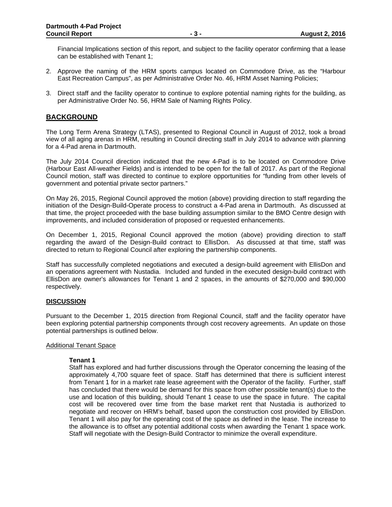Financial Implications section of this report, and subject to the facility operator confirming that a lease can be established with Tenant 1;

- 2. Approve the naming of the HRM sports campus located on Commodore Drive, as the "Harbour East Recreation Campus", as per Administrative Order No. 46, HRM Asset Naming Policies;
- 3. Direct staff and the facility operator to continue to explore potential naming rights for the building, as per Administrative Order No. 56, HRM Sale of Naming Rights Policy.

# **BACKGROUND**

The Long Term Arena Strategy (LTAS), presented to Regional Council in August of 2012, took a broad view of all aging arenas in HRM, resulting in Council directing staff in July 2014 to advance with planning for a 4-Pad arena in Dartmouth.

The July 2014 Council direction indicated that the new 4-Pad is to be located on Commodore Drive (Harbour East All-weather Fields) and is intended to be open for the fall of 2017. As part of the Regional Council motion, staff was directed to continue to explore opportunities for "funding from other levels of government and potential private sector partners."

On May 26, 2015, Regional Council approved the motion (above) providing direction to staff regarding the initiation of the Design-Build-Operate process to construct a 4-Pad arena in Dartmouth. As discussed at that time, the project proceeded with the base building assumption similar to the BMO Centre design with improvements, and included consideration of proposed or requested enhancements.

On December 1, 2015, Regional Council approved the motion (above) providing direction to staff regarding the award of the Design-Build contract to EllisDon. As discussed at that time, staff was directed to return to Regional Council after exploring the partnership components.

Staff has successfully completed negotiations and executed a design-build agreement with EllisDon and an operations agreement with Nustadia. Included and funded in the executed design-build contract with EllisDon are owner's allowances for Tenant 1 and 2 spaces, in the amounts of \$270,000 and \$90,000 respectively.

## **DISCUSSION**

Pursuant to the December 1, 2015 direction from Regional Council, staff and the facility operator have been exploring potential partnership components through cost recovery agreements. An update on those potential partnerships is outlined below.

### Additional Tenant Space

### **Tenant 1**

Staff has explored and had further discussions through the Operator concerning the leasing of the approximately 4,700 square feet of space. Staff has determined that there is sufficient interest from Tenant 1 for in a market rate lease agreement with the Operator of the facility. Further, staff has concluded that there would be demand for this space from other possible tenant(s) due to the use and location of this building, should Tenant 1 cease to use the space in future. The capital cost will be recovered over time from the base market rent that Nustadia is authorized to negotiate and recover on HRM's behalf, based upon the construction cost provided by EllisDon. Tenant 1 will also pay for the operating cost of the space as defined in the lease. The increase to the allowance is to offset any potential additional costs when awarding the Tenant 1 space work. Staff will negotiate with the Design-Build Contractor to minimize the overall expenditure.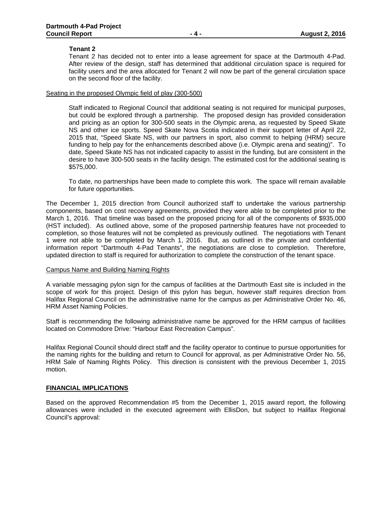#### **Tenant 2**

Tenant 2 has decided not to enter into a lease agreement for space at the Dartmouth 4-Pad. After review of the design, staff has determined that additional circulation space is required for facility users and the area allocated for Tenant 2 will now be part of the general circulation space on the second floor of the facility.

#### Seating in the proposed Olympic field of play (300-500)

Staff indicated to Regional Council that additional seating is not required for municipal purposes, but could be explored through a partnership. The proposed design has provided consideration and pricing as an option for 300-500 seats in the Olympic arena, as requested by Speed Skate NS and other ice sports. Speed Skate Nova Scotia indicated in their support letter of April 22, 2015 that, "Speed Skate NS, with our partners in sport, also commit to helping (HRM) secure funding to help pay for the enhancements described above (i.e. Olympic arena and seating)". To date, Speed Skate NS has not indicated capacity to assist in the funding, but are consistent in the desire to have 300-500 seats in the facility design. The estimated cost for the additional seating is \$575,000.

To date, no partnerships have been made to complete this work. The space will remain available for future opportunities.

The December 1, 2015 direction from Council authorized staff to undertake the various partnership components, based on cost recovery agreements, provided they were able to be completed prior to the March 1, 2016. That timeline was based on the proposed pricing for all of the components of \$935,000 (HST included). As outlined above, some of the proposed partnership features have not proceeded to completion, so those features will not be completed as previously outlined. The negotiations with Tenant 1 were not able to be completed by March 1, 2016. But, as outlined in the private and confidential information report "Dartmouth 4-Pad Tenants", the negotiations are close to completion. Therefore, updated direction to staff is required for authorization to complete the construction of the tenant space.

#### Campus Name and Building Naming Rights

A variable messaging pylon sign for the campus of facilities at the Dartmouth East site is included in the scope of work for this project. Design of this pylon has begun, however staff requires direction from Halifax Regional Council on the administrative name for the campus as per Administrative Order No. 46, HRM Asset Naming Policies.

Staff is recommending the following administrative name be approved for the HRM campus of facilities located on Commodore Drive: "Harbour East Recreation Campus".

Halifax Regional Council should direct staff and the facility operator to continue to pursue opportunities for the naming rights for the building and return to Council for approval, as per Administrative Order No. 56, HRM Sale of Naming Rights Policy. This direction is consistent with the previous December 1, 2015 motion.

#### **FINANCIAL IMPLICATIONS**

Based on the approved Recommendation #5 from the December 1, 2015 award report, the following allowances were included in the executed agreement with EllisDon, but subject to Halifax Regional Council's approval: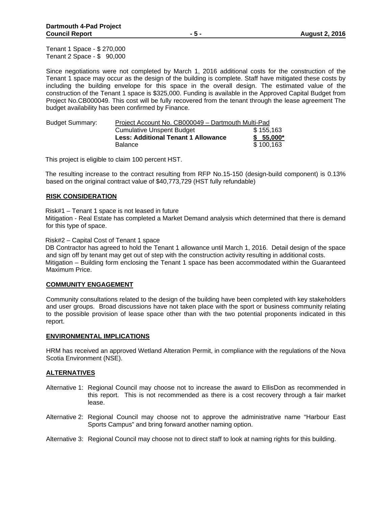Tenant 1 Space - \$ 270,000 Tenant 2 Space - \$ 90,000

Since negotiations were not completed by March 1, 2016 additional costs for the construction of the Tenant 1 space may occur as the design of the building is complete. Staff have mitigated these costs by including the building envelope for this space in the overall design. The estimated value of the construction of the Tenant 1 space is \$325,000. Funding is available in the Approved Capital Budget from Project No.CB000049. This cost will be fully recovered from the tenant through the lease agreement The budget availability has been confirmed by Finance.

| <b>Budget Summary:</b> | Project Account No. CB000049 - Dartmouth Multi-Pad |            |  |
|------------------------|----------------------------------------------------|------------|--|
|                        | <b>Cumulative Unspent Budget</b>                   | \$155,163  |  |
|                        | <b>Less: Additional Tenant 1 Allowance</b>         | $$55,000*$ |  |
|                        | Balance                                            | \$100,163  |  |

This project is eligible to claim 100 percent HST.

The resulting increase to the contract resulting from RFP No.15-150 (design-build component) is 0.13% based on the original contract value of \$40,773,729 (HST fully refundable)

### **RISK CONSIDERATION**

Risk#1 – Tenant 1 space is not leased in future

Mitigation - Real Estate has completed a Market Demand analysis which determined that there is demand for this type of space.

Risk#2 – Capital Cost of Tenant 1 space

DB Contractor has agreed to hold the Tenant 1 allowance until March 1, 2016. Detail design of the space and sign off by tenant may get out of step with the construction activity resulting in additional costs. Mitigation – Building form enclosing the Tenant 1 space has been accommodated within the Guaranteed Maximum Price.

### **COMMUNITY ENGAGEMENT**

Community consultations related to the design of the building have been completed with key stakeholders and user groups. Broad discussions have not taken place with the sport or business community relating to the possible provision of lease space other than with the two potential proponents indicated in this report.

### **ENVIRONMENTAL IMPLICATIONS**

HRM has received an approved Wetland Alteration Permit, in compliance with the regulations of the Nova Scotia Environment (NSE).

### **ALTERNATIVES**

- Alternative 1: Regional Council may choose not to increase the award to EllisDon as recommended in this report. This is not recommended as there is a cost recovery through a fair market lease.
- Alternative 2: Regional Council may choose not to approve the administrative name "Harbour East Sports Campus" and bring forward another naming option.
- Alternative 3: Regional Council may choose not to direct staff to look at naming rights for this building.